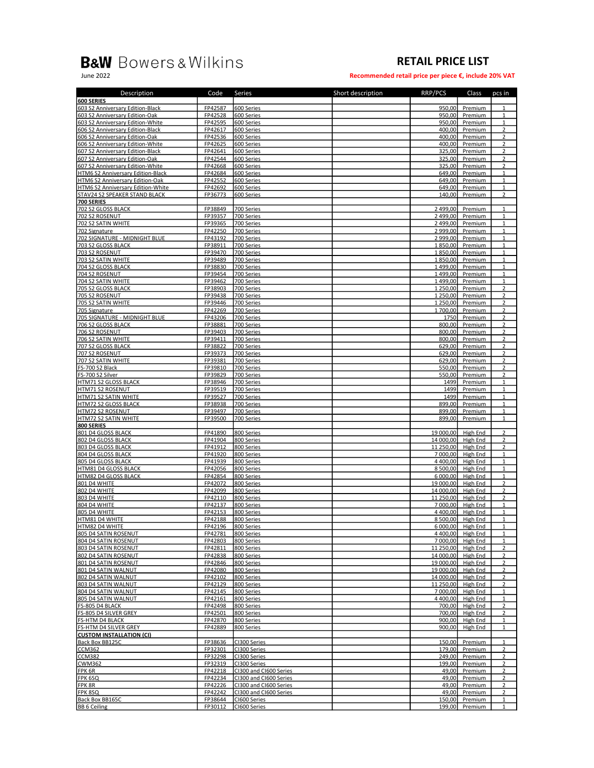## **B&W** Bowers & Wilkins

## RETAIL PRICE LIST

June 2022 Recommended retail price per piece €, include 20% VAT

| Description                       | Code           | Series                 | Short description | RRP/PCS   | Class    | pcs in         |
|-----------------------------------|----------------|------------------------|-------------------|-----------|----------|----------------|
| <b>600 SERIES</b>                 |                |                        |                   |           |          |                |
| 603 S2 Anniversary Edition-Black  | FP42587        | 600 Series             |                   | 950,00    | Premium  | 1              |
| 603 S2 Anniversary Edition-Oak    | FP42528        | 600 Series             |                   | 950,00    | Premium  | $\mathbf 1$    |
| 603 S2 Anniversary Edition-White  | FP42595        | 600 Series             |                   | 950,00    | Premium  | $\mathbf{1}$   |
| 606 S2 Anniversary Edition-Black  | FP42617        | 600 Series             |                   | 400,00    | Premium  | $\overline{2}$ |
| 606 S2 Anniversary Edition-Oak    | FP42536        | 600 Series             |                   | 400,00    | Premium  | 2              |
| 606 S2 Anniversary Edition-White  | FP42625        | 600 Series             |                   | 400,00    | Premium  | $\overline{2}$ |
| 607 S2 Anniversary Edition-Black  | FP42641        | 600 Series             |                   | 325,00    | Premium  | $\overline{2}$ |
| 607 S2 Anniversary Edition-Oak    | FP42544        | 600 Series             |                   | 325,00    | Premium  | $\overline{2}$ |
| 607 S2 Anniversary Edition-White  | FP42668        | 600 Series             |                   | 325,00    | Premium  | 2              |
| HTM6 S2 Anniversary Edition-Black | FP42684        | 600 Series             |                   | 649,00    | Premium  | $\mathbf 1$    |
| HTM6 S2 Anniversary Edition-Oak   | FP42552        | 600 Series             |                   | 649,00    | Premium  | $\mathbf{1}$   |
| HTM6 S2 Anniversary Edition-White | FP42692        | 600 Series             |                   | 649.00    | Premium  | $\mathbf{1}$   |
| STAV24 S2 SPEAKER STAND BLACK     | FP36773        | 600 Series             |                   | 140,00    | Premium  | 2              |
| 700 SERIES                        |                |                        |                   |           |          |                |
| 702 S2 GLOSS BLACK                | FP38849        | 700 Series             |                   | 2 499,00  | Premium  | $\mathbf{1}$   |
| 702 S2 ROSENUT                    | FP39357        | 700 Series             |                   | 2 499,00  | Premium  | $\mathbf{1}$   |
| 702 S2 SATIN WHITE                | FP39365        | 700 Series             |                   | 2 499,00  | Premium  | $\mathbf{1}$   |
| 702 Signature                     | FP42250        | 700 Series             |                   | 2 999,00  | Premium  | $\mathbf{1}$   |
| 702 SIGNATURE - MIDNIGHT BLUE     | FP43192        | 700 Series             |                   | 2 999,00  | Premium  | $\mathbf{1}$   |
| 703 S2 GLOSS BLACK                | FP38911        | 700 Series             |                   | 1850,00   | Premium  | $\mathbf{1}$   |
| 703 S2 ROSENUT                    | FP39470        | 700 Series             |                   | 1850,00   | Premium  | $\mathbf{1}$   |
| 703 S2 SATIN WHITE                | FP39489        | 700 Series             |                   | 1850,00   | Premium  | 1              |
| 704 S2 GLOSS BLACK                | FP38830        | 700 Series             |                   | 1499,00   | Premium  | $\mathbf{1}$   |
| 704 S2 ROSENUT                    | FP39454        | 700 Series             |                   | 1499.00   | Premium  | $\mathbf{1}$   |
| 704 S2 SATIN WHITE                | FP39462        | 700 Series             |                   | 1499,00   | Premium  | $\mathbf{1}$   |
| 705 S2 GLOSS BLACK                | FP38903        | 700 Series             |                   | 1 250,00  | Premium  | 2              |
| 705 S2 ROSENUT                    | FP39438        | 700 Series             |                   | 1 250,00  | Premium  | $\overline{2}$ |
| 705 S2 SATIN WHITE                | FP39446        | 700 Series             |                   | 1 250.00  | Premium  | 2              |
| 705 Signature                     | FP42269        | 700 Series             |                   | 1700,00   | Premium  | $\overline{2}$ |
| 705 SIGNATURE - MIDNIGHT BLUE     | FP43206        | 700 Series             |                   | 1750      | Premium  | 2              |
| 706 S2 GLOSS BLACK                | FP38881        | 700 Series             |                   | 800,00    | Premium  | $\overline{2}$ |
| 706 S2 ROSENUT                    | FP39403        | 700 Series             |                   | 800,00    | Premium  | $\overline{2}$ |
| 706 S2 SATIN WHITE                | FP39411        | 700 Series             |                   | 800,00    | Premium  | $\overline{2}$ |
| 707 S2 GLOSS BLACK                | FP38822        | 700 Series             |                   | 629.00    | Premium  | $\overline{2}$ |
| 707 S2 ROSENUT                    | FP39373        | 700 Series             |                   | 629,00    | Premium  | $\overline{2}$ |
| 707 S2 SATIN WHITE                | FP39381        | 700 Series             |                   | 629,00    | Premium  | $\overline{2}$ |
| FS-700 S2 Black                   | FP39810        | 700 Series             |                   | 550,00    | Premium  | $\overline{2}$ |
| FS-700 S2 Silver                  | FP39829        | 700 Series             |                   | 550,00    | Premium  | $\overline{2}$ |
| HTM71 S2 GLOSS BLACK              | FP38946        | 700 Series             |                   | 1499      | Premium  | $\mathbf{1}$   |
| <b>HTM71 S2 ROSENUT</b>           | FP39519        | 700 Series             |                   | 1499      | Premium  | $\mathbf 1$    |
| HTM71 S2 SATIN WHITE              | FP39527        | 700 Series             |                   | 1499      | Premium  | $\mathbf{1}$   |
| <b>HTM72 S2 GLOSS BLACK</b>       | FP38938        | 700 Series             |                   | 899,00    | Premium  | 1              |
| HTM72 S2 ROSENUT                  | FP39497        | 700 Series             |                   | 899,00    | Premium  | $\mathbf{1}$   |
| HTM72 S2 SATIN WHITE              | FP39500        | 700 Series             |                   | 899,00    | Premium  | $\mathbf{1}$   |
| 800 SERIES                        |                |                        |                   |           |          |                |
| 801 D4 GLOSS BLACK                | FP41890        | 800 Series             |                   | 19 000,00 | High End | $\overline{2}$ |
| 802 D4 GLOSS BLACK                | FP41904        | 800 Series             |                   | 14 000,00 | High End | $\overline{2}$ |
| 803 D4 GLOSS BLACK                | FP41912        | 800 Series             |                   | 11 250,00 | High End | $\overline{2}$ |
| 804 D4 GLOSS BLACK                | FP41920        | 800 Series             |                   | 7 000.00  | High End | $\mathbf{1}$   |
| 805 D4 GLOSS BLACK                | FP41939        | 800 Series             |                   | 4 400,00  | High End | $\mathbf{1}$   |
| HTM81 D4 GLOSS BLACK              | FP42056        | 800 Series             |                   | 8 500,00  | High End | 1              |
| HTM82 D4 GLOSS BLACK              | FP42854        | 800 Series             |                   | 6 000,00  | High End | $\mathbf 1$    |
| 801 D4 WHITE                      | FP42072        | 800 Series             |                   | 19 000,00 | High End | 2              |
| 802 D4 WHITE                      | FP42099        | 800 Series             |                   | 14 000,00 | High End | $\overline{2}$ |
| 803 D4 WHITE                      | FP42110        | 800 Series             |                   | 11 250,00 | High End | 2              |
| 804 D4 WHITE                      | FP42137        | 800 Series             |                   | 7 000,00  | High End | $\mathbf{1}$   |
| 805 D4 WHITE                      | FP42153        | 800 Series             |                   | 4400.00   | High End | $\mathbf{1}$   |
| HTM81 D4 WHITE                    | <b>ED47199</b> | 800 Series             |                   | 8 500.00  | High End | $\mathbf{1}$   |
| HTM82 D4 WHITE                    | FP42196        | 800 Series             |                   | 6 000,00  | High End | $\mathbf{1}$   |
| 805 D4 SATIN ROSENUT              | FP42781        | 800 Series             |                   | 4 400,00  | High End | $\mathbf{1}$   |
| 804 D4 SATIN ROSENUT              | FP42803        | 800 Series             |                   | 7000.00   | High End | 1              |
| 803 D4 SATIN ROSENUT              | FP42811        | 800 Series             |                   | 11 250,00 | High End | $\overline{2}$ |
| 802 D4 SATIN ROSENUT              | FP42838        | 800 Series             |                   | 14 000,00 | High End | 2              |
| 801 D4 SATIN ROSENUT              | FP42846        | 800 Series             |                   | 19 000,00 | High End | $\overline{2}$ |
| 801 D4 SATIN WALNUT               | FP42080        | 800 Series             |                   | 19 000,00 | High End | 2              |
| 802 D4 SATIN WALNUT               | FP42102        | 800 Series             |                   | 14 000,00 | High End | 2              |
| 803 D4 SATIN WALNUT               | FP42129        | 800 Series             |                   | 11 250,00 | High End | $\overline{2}$ |
| 804 D4 SATIN WALNUT               | FP42145        | 800 Series             |                   | 7 000,00  | High End | $\mathbf{1}$   |
| 805 D4 SATIN WALNUT               | FP42161        | 800 Series             |                   | 4 400.00  | High End | $\mathbf{1}$   |
| FS-805 D4 BLACK                   | FP42498        | 800 Series             |                   | 700,00    | High End | 2              |
| FS-805 D4 SILVER GREY             | FP42501        | 800 Series             |                   | 700,00    | High End | $\overline{2}$ |
| <b>FS-HTM D4 BLACK</b>            | FP42870        | 800 Series             |                   | 900,00    | High End | 1              |
| FS-HTM D4 SILVER GREY             | FP42889        | 800 Series             |                   | 900,00    | High End | $\mathbf{1}$   |
| <b>CUSTOM INSTALLATION (CI)</b>   |                |                        |                   |           |          |                |
| Back Box BB125C                   | FP38636        | CI300 Series           |                   | 150,00    | Premium  | $\mathbf{1}$   |
| <b>CCM362</b>                     | FP32301        | CI300 Series           |                   | 179,00    | Premium  | 2              |
| <b>CCM382</b>                     | FP32298        | CI300 Series           |                   | 249,00    | Premium  | $\overline{2}$ |
| <b>CWM362</b>                     | FP32319        | CI300 Series           |                   | 199,00    | Premium  | 2              |
| FPK 6R                            | FP42218        | CI300 and CI600 Series |                   | 49,00     | Premium  | $\overline{2}$ |
| FPK 6SQ                           | FP42234        | CI300 and CI600 Series |                   | 49,00     | Premium  | 2              |
| FPK 8R                            | FP42226        | CI300 and CI600 Series |                   | 49,00     | Premium  | $\overline{2}$ |
| FPK 8SQ                           | FP42242        | CI300 and CI600 Series |                   | 49,00     | Premium  | $\overline{2}$ |
| Back Box BB165C                   | FP38644        |                        |                   | 150,00    | Premium  | $\mathbf{1}$   |
|                                   |                | CI600 Series           |                   |           |          |                |
| <b>BB 6 Ceiling</b>               | FP30112        | CI600 Series           |                   | 199,00    | Premium  | $\mathbf{1}$   |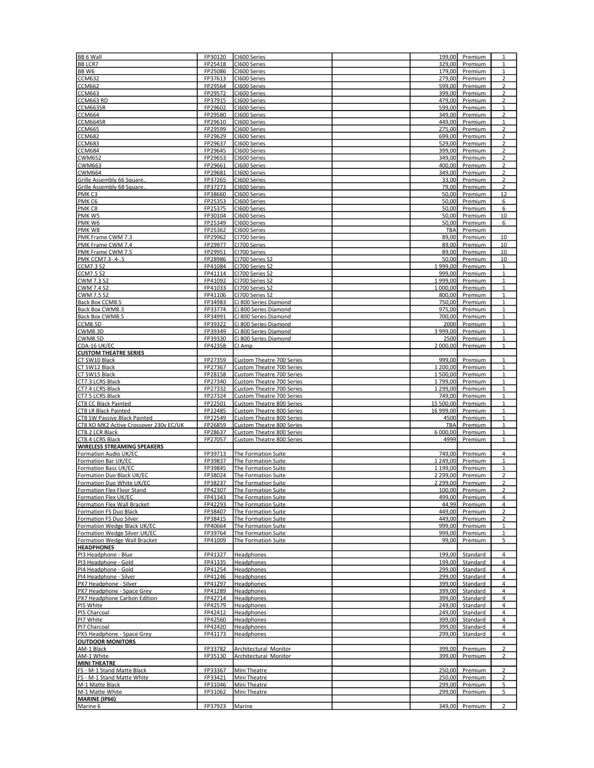| BB 6 Wall                              | FP30120 | CI600 Series                     | 199,00    | Premium  | $\mathbf{1}$   |
|----------------------------------------|---------|----------------------------------|-----------|----------|----------------|
| <b>BB LCR7</b>                         | FP25418 | CI600 Series                     | 329,00    | Premium  | $\mathbf{1}$   |
| BB W6                                  | FP25086 | CI600 Series                     | 179,00    | Premium  | $\mathbf{1}$   |
| <b>CCM632</b>                          | FP37613 | CI600 Series                     | 279,00    | Premium  | $\overline{2}$ |
| <b>CCM662</b>                          | FP29564 | CI600 Series                     | 599,00    | Premium  | $\overline{2}$ |
|                                        |         |                                  |           |          |                |
| <b>CCM663</b>                          | FP29572 | CI600 Series                     | 399,00    | Premium  | $\overline{2}$ |
| CCM663 RD                              | FP37915 | CI600 Series                     | 479,00    | Premium  | $\overline{2}$ |
| CCM663SR                               | FP29602 | CI600 Series                     | 599,00    | Premium  | $\mathbf{1}$   |
| <b>CCM664</b>                          | FP29580 | CI600 Series                     | 349,00    | Premium  | $\overline{2}$ |
|                                        |         |                                  |           |          |                |
| CCM664SR                               | FP29610 | CI600 Series                     | 449,00    | Premium  | $\mathbf{1}$   |
| <b>CCM665</b>                          | FP29599 | CI600 Series                     | 275,00    | Premium  | $\overline{2}$ |
| <b>CCM682</b>                          | FP29629 | CI600 Series                     | 699,00    | Premium  | $\overline{2}$ |
| <b>CCM683</b>                          | FP29637 | CI600 Series                     | 529,00    | Premium  | $\overline{2}$ |
|                                        |         |                                  | 399.00    |          |                |
| <b>CCM684</b>                          | FP29645 | CI600 Series                     |           | Premium  | $\overline{2}$ |
| <b>CWM652</b>                          | FP29653 | CI600 Series                     | 349,00    | Premium  | $\overline{2}$ |
| CWM663                                 | FP29661 | CI600 Series                     | 400,00    | Premium  | 2              |
| <b>CWM664</b>                          | FP29681 | CI600 Series                     | 349,00    | Premium  | 2              |
| Grille Assembly 66 Square              | FP37265 | CI600 Series                     | 33,00     | Premium  | 2              |
|                                        |         |                                  |           |          |                |
| Grille Assembly 68 Square.             | FP37273 | CI600 Series                     | 79,00     | Premium  | $\overline{2}$ |
| PMK <sub>C3</sub>                      | FP38660 | CI600 Series                     | 50,00     | Premium  | 12             |
| PMK <sub>C6</sub>                      | FP25353 | CI600 Series                     | 50,00     | Premium  | 6              |
| PMK <sub>C8</sub>                      | FP25375 | CI600 Series                     | 50,00     | Premium  | 6              |
| PMKW5                                  | FP30104 |                                  | 50,00     |          |                |
|                                        |         | CI600 Series                     |           | Premium  | 10             |
| PMK W6                                 | FP25349 | CI600 Series                     | 50,00     | Premium  | 6              |
| PMK W8                                 | FP25362 | CI600 Series                     | TBA       | Premium  |                |
| PMK Frame CWM 7.3                      | FP29962 | CI700 Series                     | 89,00     | Premium  | 10             |
|                                        | FP29977 | CI700 Series                     | 89,00     |          | 10             |
| PMK Frame CWM 7.4                      |         |                                  |           | Premium  |                |
| PMK Frame CWM 7.5                      | FP29951 | CI700 Series                     | 89,00     | Premium  | 10             |
| PMK CCM7.3-.4-.5                       | FP28986 | CI700 Series S2                  | 50,00     | Premium  | 10             |
| <b>CCM7.3 S2</b>                       | FP41084 | CI700 Series S2                  | 1999,00   | Premium  | $\mathbf{1}$   |
|                                        | FP41114 |                                  |           |          | $1\,$          |
| <b>CCM7.5 S2</b>                       |         | CI700 Series S2                  | 999,00    | Premium  |                |
| CWM 7.3 S2                             | FP41092 | CI700 Series S2                  | 1999,00   | Premium  | $\mathbf 1$    |
| <b>CWM 7.4 S2</b>                      | FP41033 | CI700 Series S2                  | 1 000,00  | Premium  | $\mathbf{1}$   |
| CWM 7.5 S2                             | FP41106 | CI700 Series S2                  | 800,00    | Premium  | $\mathbf{1}$   |
| Back Box CCM8.5                        | FP34983 | Ci 800 Series Diamond            | 750,00    | Premium  | $\mathbf{1}$   |
|                                        |         |                                  |           |          |                |
| Back Box CWM8.3                        | FP33774 | Ci 800 Series Diamond            | 975,00    | Premium  | $\mathbf{1}$   |
| Back Box CWM8.5                        | FP34991 | Ci 800 Series Diamond            | 700.00    | Premium  | $\mathbf{1}$   |
| CCM8.5D                                | FP39322 | Ci 800 Series Diamond            | 2000      | Premium  | $\mathbf{1}$   |
| CWM8.3D                                | FP39349 | Ci 800 Series Diamond            | 3 999,00  | Premium  | $\mathbf{1}$   |
|                                        |         |                                  |           |          |                |
| CWM8.5D                                | FP39330 | Ci 800 Series Diamond            | 2500      | Premium  | $\mathbf{1}$   |
| CDA-16 UK/EC                           | FP42358 | CI Amp                           | 2 000,00  | Premium  | 1              |
| <b>CUSTOM THEATRE SERIES</b>           |         |                                  |           |          |                |
| CT SW10 Black                          | FP27359 | <b>Custom Theatre 700 Series</b> | 999,00    | Premium  | $\mathbf{1}$   |
|                                        |         |                                  |           |          |                |
| CT SW12 Black                          | FP27367 | Custom Theatre 700 Series        | 1 200,00  | Premium  | $\mathbf{1}$   |
| CT SW15 Black                          | FP28158 | Custom Theatre 700 Series        | 1500,00   | Premium  | $\mathbf{1}$   |
| CT7.3 LCRS Black                       | FP27340 | Custom Theatre 700 Series        | 1799,00   | Premium  | $\mathbf{1}$   |
| CT7.4 LCRS Black                       | FP27332 | Custom Theatre 700 Series        | 1 299,00  | Premium  | 1              |
|                                        |         |                                  |           |          |                |
| CT7.5 LCRS Black                       | FP27324 | Custom Theatre 700 Series        | 749,00    | Premium  | $1\,$          |
| <b>CT8 CC Black Painted</b>            | FP22501 | Custom Theatre 800 Series        | 15 500,00 | Premium  | $\mathbf 1$    |
| <b>CT8 LR Black Painted</b>            | FP22485 | Custom Theatre 800 Series        | 16 999,00 | Premium  | $\mathbf{1}$   |
| <b>CT8 SW Passive Black Painted</b>    | FP22549 | Custom Theatre 800 Series        | 4500      | Premium  | $\mathbf{1}$   |
|                                        |         |                                  |           |          |                |
| CT8 XO MK2 Active Crossover 230v EC/UK | FP26859 | Custom Theatre 800 Series        | TBA       | Premium  | $\mathbf{1}$   |
| CT8.2 LCR Black                        | FP28637 | Custom Theatre 800 Series        | 6 000,00  | Premium  | $\mathbf{1}$   |
| CT8.4 LCRS Black                       | FP27057 | Custom Theatre 800 Series        | 4999      | Premium  | $\mathbf{1}$   |
| <b>WIRELESS STREAMING SPEAKERS</b>     |         |                                  |           |          |                |
|                                        |         |                                  |           |          |                |
| Formation Audio UK/EC                  | FP39713 | The Formation Suite              | 749,00    | Premium  | $\overline{4}$ |
| Formation Bar UK/EC                    | FP39837 | The Formation Suite              | 1 249,00  | Premium  | $\mathbf{1}$   |
| Formation Bass UK/EC                   | FP39845 | The Formation Suite              | 1 199,00  | Premium  | $\mathbf{1}$   |
| Formation Duo Black UK/EC              | FP38024 | The Formation Suite              | 2 299,00  | Premium  | $\overline{2}$ |
|                                        |         |                                  |           |          |                |
| Formation Duo White UK/EC              | FP38237 | The Formation Suite              | 2 299,00  | Premium  | 2              |
| Formation Flex Floor Stand             | FP42307 | The Formation Suite              | 100,00    | Premium  | 2              |
| Formation Flex UK/EC                   | FP41343 | The Formation Suite              | 499,00    | Premium  | 4              |
| Formation Flex Wall Bracket            | FP42293 | The Formation Suite              | 44,99     | Premium  | 4              |
| Formation FS Duo Black                 | FP38407 | The Formation Suite              | 449,00    | Premium  | 2              |
|                                        |         |                                  |           |          |                |
| Formation FS Duo Silver                | FP38415 | The Formation Suite              | 449,00    | Premium  | $\overline{2}$ |
| Formation Wedge Black UK/EC            | FP40664 | The Formation Suite              | 999,00    | Premium  | 1              |
| Formation Wedge Silver UK/EC           | FP39764 | The Formation Suite              | 999,00    | Premium  | $\mathbf{1}$   |
| Formation Wedge Wall Bracket           | FP41009 | The Formation Suite              | 99,00     | Premium  | 5              |
| <b>HEADPHONES</b>                      |         |                                  |           |          |                |
|                                        |         |                                  |           |          |                |
| PI3 Headphone - Blue                   | FP41327 | Headphones                       | 199,00    | Standard | 4              |
| PI3 Headphone - Gold                   | FP41335 | Headphones                       | 199,00    | Standard | 4              |
| PI4 Headphone - Gold                   | FP41254 | Headphones                       | 299,00    | Standard | 4              |
| PI4 Headphone - Silver                 | FP41246 | Headphones                       | 299,00    | Standard | 4              |
|                                        |         |                                  |           |          |                |
| PX7 Headphone - Silver                 | FP41297 | Headphones                       | 399,00    | Standard | $\overline{4}$ |
| PX7 Headphone - Space Grey             | FP41289 | Headphones                       | 399,00    | Standard | 4              |
| PX7 Headphone Carbon Edition           | FP42714 | Headphones                       | 399.00    | Standard | 4              |
| PI5 White                              | FP42579 | Headphones                       | 249,00    | Standard | $\overline{4}$ |
|                                        |         |                                  |           |          |                |
| PI5 Charcoal                           | FP42412 | Headphones                       | 249,00    | Standard | 4              |
| PI7 White                              | FP42560 | Headphones                       | 399,00    | Standard | 4              |
| PI7 Charcoal                           | FP42420 | Headphones                       | 399,00    | Standard | 4              |
| PX5 Headphone - Space Grey             | FP41173 | Headphones                       | 299,00    | Standard | $\overline{4}$ |
|                                        |         |                                  |           |          |                |
| <b>OUTDOOR MONITORS</b>                |         |                                  |           |          |                |
| AM-1 Black                             |         |                                  | 399,00    | Premium  | $\overline{2}$ |
|                                        | FP33782 | Architectural Monitor            |           |          |                |
|                                        |         |                                  |           |          |                |
| AM-1 White                             | FP35130 | Architectural Monitor            | 399,00    | Premium  | 2              |
| MINI THEATRE                           |         |                                  |           |          |                |
| FS - M-1 Stand Matte Black             | FP33367 | Mini Theatre                     | 250,00    | Premium  | $\overline{2}$ |
| FS - M-1 Stand Matte White             | FP33421 | Mini Theatre                     | 250,00    | Premium  | $\overline{2}$ |
| M-1 Matte Black                        | FP31046 | Mini Theatre                     | 299,00    | Premium  |                |
|                                        |         |                                  |           |          | 5              |
| M-1 Matte White                        | FP31062 | Mini Theatre                     | 299,00    | Premium  | 5              |
| MARINE (IP66)<br>Marine 6              | FP37923 | Marine                           | 349,00    | Premium  | $\overline{2}$ |